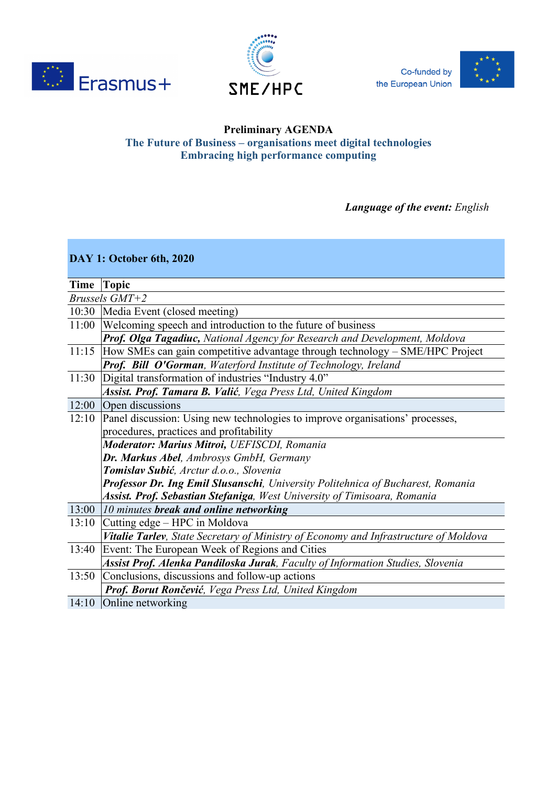



Co-funded by the European Union



## **Preliminary AGENDA The Future of Business – organisations meet digital technologies Embracing high performance computing**

*Language of the event: English*

| DAY 1: October 6th, 2020 |                                                                                      |  |
|--------------------------|--------------------------------------------------------------------------------------|--|
|                          |                                                                                      |  |
|                          | Time Topic                                                                           |  |
| Brussels GMT+2           |                                                                                      |  |
|                          | 10:30  Media Event (closed meeting)                                                  |  |
| 11:00                    | Welcoming speech and introduction to the future of business                          |  |
|                          | Prof. Olga Tagadiuc, National Agency for Research and Development, Moldova           |  |
| 11:15                    | How SMEs can gain competitive advantage through technology – SME/HPC Project         |  |
|                          | Prof. Bill O'Gorman, Waterford Institute of Technology, Ireland                      |  |
| 11:30                    | Digital transformation of industries "Industry 4.0"                                  |  |
|                          | Assist. Prof. Tamara B. Valić, Vega Press Ltd, United Kingdom                        |  |
| 12:00                    | Open discussions                                                                     |  |
| 12:10                    | Panel discussion: Using new technologies to improve organisations' processes,        |  |
|                          | procedures, practices and profitability                                              |  |
|                          | Moderator: Marius Mitroi, UEFISCDI, Romania                                          |  |
|                          | Dr. Markus Abel, Ambrosys GmbH, Germany                                              |  |
|                          | Tomislav Subić, Arctur d.o.o., Slovenia                                              |  |
|                          | Professor Dr. Ing Emil Slusanschi, University Politehnica of Bucharest, Romania      |  |
|                          | Assist. Prof. Sebastian Stefaniga, West University of Timisoara, Romania             |  |
| 13:00                    | 10 minutes break and online networking                                               |  |
| 13:10                    | Cutting edge – HPC in Moldova                                                        |  |
|                          | Vitalie Tarlev, State Secretary of Ministry of Economy and Infrastructure of Moldova |  |
| 13:40                    | Event: The European Week of Regions and Cities                                       |  |
|                          | Assist Prof. Alenka Pandiloska Jurak, Faculty of Information Studies, Slovenia       |  |
| 13:50                    | Conclusions, discussions and follow-up actions                                       |  |
|                          | Prof. Borut Rončević, Vega Press Ltd, United Kingdom                                 |  |
| 14:10                    | Online networking                                                                    |  |